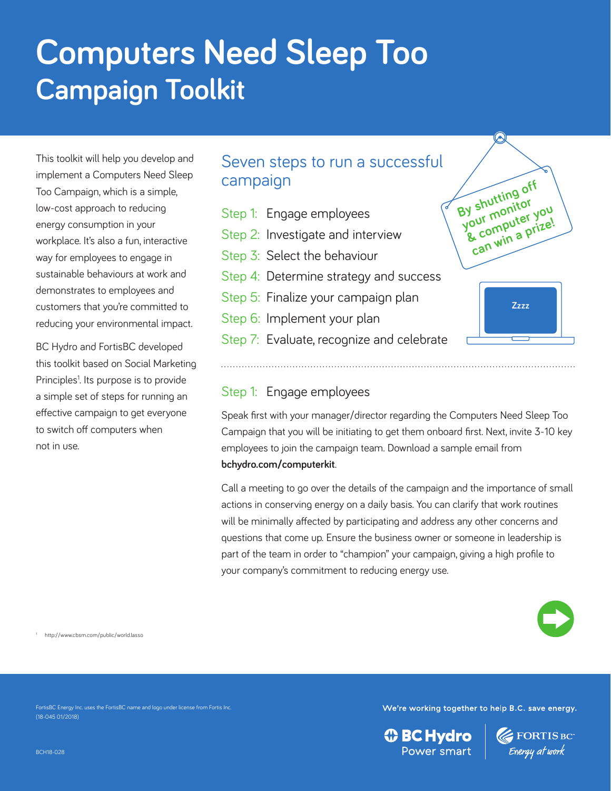# **Computers Need Sleep Too Campaign Toolkit**

This toolkit will help you develop and implement a Computers Need Sleep Too Campaign, which is a simple, low-cost approach to reducing energy consumption in your workplace. It's also a fun, interactive way for employees to engage in sustainable behaviours at work and demonstrates to employees and customers that you're committed to reducing your environmental impact.

BC Hydro and FortisBC developed this toolkit based on Social Marketing Principles<sup>1</sup>. Its purpose is to provide a simple set of steps for running an effective campaign to get everyone to switch off computers when not in use.

# Seven steps to run a successful campaign

- Step 1: Engage employees Step 2: Investigate and interview Step 3: Select the behaviour Step 4: Determine strategy and success
- Step 5: Finalize your campaign plan
- Step 6: Implement your plan
- Step 7: Evaluate, recognize and celebrate



## Step 1: Engage employees

Speak first with your manager/director regarding the Computers Need Sleep Too Campaign that you will be initiating to get them onboard first. Next, invite 3-10 key employees to join the campaign team. Download a sample email from **bchydro.com/computerkit**.

Call a meeting to go over the details of the campaign and the importance of small actions in conserving energy on a daily basis. You can clarify that work routines will be minimally affected by participating and address any other concerns and questions that come up. Ensure the business owner or someone in leadership is part of the team in order to "champion" your campaign, giving a high profile to your company's commitment to reducing energy use.



http://www.cbsm.com/public/world.lasso

FortisBC Energy Inc. uses the FortisBC name and logo under license from Fortis Inc.

We're working together to help B.C. save energy.

**① BC Hydro** Power smart



(18-045 01/2018)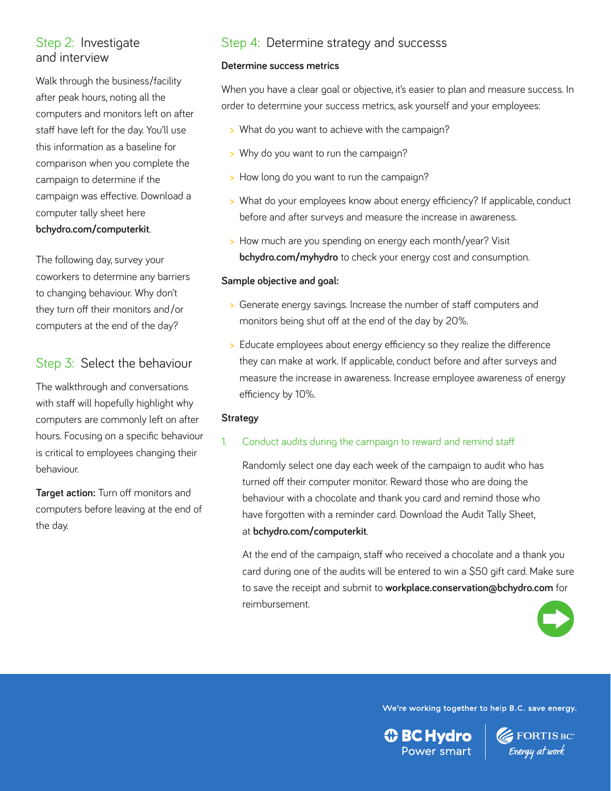## Step 2: Investigate and interview

Walk through the business/facility after peak hours, noting all the computers and monitors left on after staff have left for the day. You'll use this information as a baseline for comparison when you complete the campaign to determine if the campaign was effective. Download a computer tally sheet here **bchydro.com/computerkit**.

The following day, survey your coworkers to determine any barriers to changing behaviour. Why don't they turn off their monitors and/or computers at the end of the day?

## Step 3: Select the behaviour

The walkthrough and conversations with staff will hopefully highlight why computers are commonly left on after hours. Focusing on a specific behaviour is critical to employees changing their behaviour.

**Target action:** Turn off monitors and computers before leaving at the end of the day.

# Step 4: Determine strategy and successs

#### **Determine success metrics**

When you have a clear goal or objective, it's easier to plan and measure success. In order to determine your success metrics, ask yourself and your employees:

- **>** What do you want to achieve with the campaign?
- **>** Why do you want to run the campaign?
- **>** How long do you want to run the campaign?
- **>** What do your employees know about energy efficiency? If applicable, conduct before and after surveys and measure the increase in awareness.
- **>** How much are you spending on energy each month/year? Visit **bchydro.com/myhydro** to check your energy cost and consumption.

#### **Sample objective and goal:**

- **>** Generate energy savings. Increase the number of staff computers and monitors being shut off at the end of the day by 20%.
- **>** Educate employees about energy efficiency so they realize the difference they can make at work. If applicable, conduct before and after surveys and measure the increase in awareness. Increase employee awareness of energy efficiency by 10%.

#### **Strategy**

#### 1. Conduct audits during the campaign to reward and remind staff

 Randomly select one day each week of the campaign to audit who has turned off their computer monitor. Reward those who are doing the behaviour with a chocolate and thank you card and remind those who have forgotten with a reminder card. Download the Audit Tally Sheet, at **bchydro.com/computerkit**.

 At the end of the campaign, staff who received a chocolate and a thank you card during one of the audits will be entered to win a \$50 gift card. Make sure to save the receipt and submit to **workplace.conservation@bchydro.com** for reimbursement.



**Exercise Energy at work** 

We're working together to help B.C. save energy.

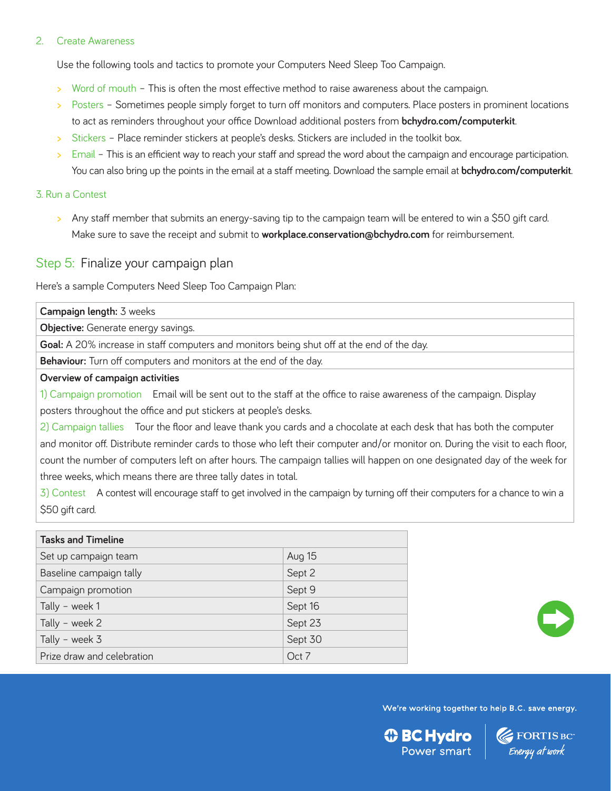#### 2. Create Awareness

Use the following tools and tactics to promote your Computers Need Sleep Too Campaign.

- **>** Word of mouth This is often the most effective method to raise awareness about the campaign.
- **>** Posters Sometimes people simply forget to turn off monitors and computers. Place posters in prominent locations to act as reminders throughout your office Download additional posters from **bchydro.com/computerkit**.
- **>** Stickers Place reminder stickers at people's desks. Stickers are included in the toolkit box.
- **>** Email This is an efficient way to reach your staff and spread the word about the campaign and encourage participation. You can also bring up the points in the email at a staff meeting. Download the sample email at **bchydro.com/computerkit**.

#### 3. Run a Contest

**>** Any staff member that submits an energy-saving tip to the campaign team will be entered to win a \$50 gift card. Make sure to save the receipt and submit to **workplace.conservation@bchydro.com** for reimbursement.

### Step 5: Finalize your campaign plan

Here's a sample Computers Need Sleep Too Campaign Plan:

| Campaign length: 3 weeks                                                                          |                                                                                                                     |  |
|---------------------------------------------------------------------------------------------------|---------------------------------------------------------------------------------------------------------------------|--|
| <b>Objective:</b> Generate energy savings.                                                        |                                                                                                                     |  |
| <b>Goal:</b> A 20% increase in staff computers and monitors being shut off at the end of the day. |                                                                                                                     |  |
| <b>Behaviour:</b> Turn off computers and monitors at the end of the day.                          |                                                                                                                     |  |
| Overview of campaign activities                                                                   |                                                                                                                     |  |
|                                                                                                   | 1) Campaign promotion Email will be sent out to the staff at the office to raise awareness of the campaign. Display |  |
| posters throughout the office and put stickers at people's desks.                                 |                                                                                                                     |  |

2) Campaign tallies Tour the floor and leave thank you cards and a chocolate at each desk that has both the computer and monitor off. Distribute reminder cards to those who left their computer and/or monitor on. During the visit to each floor, count the number of computers left on after hours. The campaign tallies will happen on one designated day of the week for three weeks, which means there are three tally dates in total.

3) Contest A contest will encourage staff to get involved in the campaign by turning off their computers for a chance to win a \$50 gift card.

| <b>Tasks and Timeline</b>  |         |  |
|----------------------------|---------|--|
| Set up campaign team       | Aug 15  |  |
| Baseline campaign tally    | Sept 2  |  |
| Campaign promotion         | Sept 9  |  |
| Tally - week 1             | Sept 16 |  |
| Tally - week 2             | Sept 23 |  |
| Tally - week $3$           | Sept 30 |  |
| Prize draw and celebration | Oct 7   |  |



**Exercise SEC**<br>Energy at work

We're working together to help B.C. save energy.

*I* BC Hydro Power smart